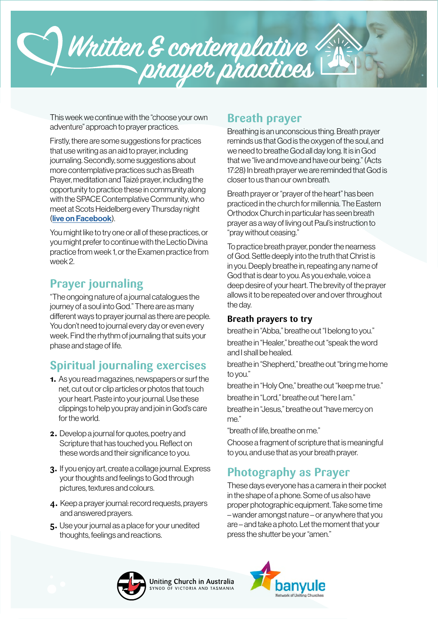

This week we continue with the "choose your own adventure" approach to prayer practices.

Firstly, there are some suggestions for practices that use writing as an aid to prayer, including journaling. Secondly, some suggestions about more contemplative practices such as Breath Prayer, meditation and Taizé prayer, including the opportunity to practice these in community along with the SPACE Contemplative Community, who meet at Scots Heidelberg every Thursday night ([live on Facebook](https://www.facebook.com/SPACEcontemplativecommunity/)).

You might like to try one or all of these practices, or you might prefer to continue with the Lectio Divina practice from week 1, or the Examen practice from week 2.

# **Prayer journaling**

"The ongoing nature of a journal catalogues the journey of a soul into God." There are as many different ways to prayer journal as there are people. You don't need to journal every day or even every week. Find the rhythm of journaling that suits your phase and stage of life.

# **Spiritual journaling exercises**

- **1.** As you read magazines, newspapers or surf the net, cut out or clip articles or photos that touch your heart. Paste into your journal. Use these clippings to help you pray and join in God's care for the world.
- **2.** Develop a journal for quotes, poetry and Scripture that has touched you. Reflect on these words and their significance to you.
- **3.** If you enjoy art, create a collage journal. Express your thoughts and feelings to God through pictures, textures and colours.
- **4.** Keep a prayer journal: record requests, prayers and answered prayers.
- **5.** Use your journal as a place for your unedited thoughts, feelings and reactions.

### **Breath prayer**

Breathing is an unconscious thing. Breath prayer reminds us that God is the oxygen of the soul, and we need to breathe God all day long. It is in God that we "live and move and have our being." (Acts 17:28) In breath prayer we are reminded that God is closer to us than our own breath.

Breath prayer or "prayer of the heart" has been practiced in the church for millennia. The Eastern Orthodox Church in particular has seen breath prayer as a way of living out Paul's instruction to "pray without ceasing."

To practice breath prayer, ponder the nearness of God. Settle deeply into the truth that Christ is in you. Deeply breathe in, repeating any name of God that is dear to you. As you exhale, voice a deep desire of your heart. The brevity of the prayer allows it to be repeated over and over throughout the day.

#### **Breath prayers to try**

breathe in "Abba," breathe out "I belong to you." breathe in "Healer," breathe out "speak the word and I shall be healed.

breathe in "Shepherd," breathe out "bring me home to you."

breathe in "Holy One," breathe out "keep me true." breathe in "Lord," breathe out "here I am."

breathe in "Jesus," breathe out "have mercy on me."

"breath of life, breathe on me."

Choose a fragment of scripture that is meaningful to you, and use that as your breath prayer.

# **Photography as Prayer**

These days everyone has a camera in their pocket in the shape of a phone. Some of us also have proper photographic equipment. Take some time – wander amongst nature – or anywhere that you are – and take a photo. Let the moment that your press the shutter be your "amen."